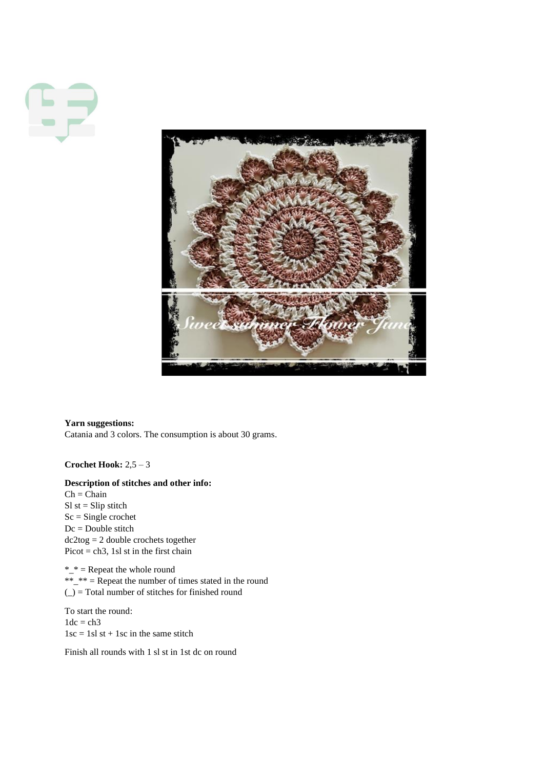

**Yarn suggestions:** Catania and 3 colors. The consumption is about 30 grams.

**Crochet Hook:** 2,5 – 3

## **Description of stitches and other info:**

 $Ch = Chain$  $SI$  st = Slip stitch Sc = Single crochet Dc = Double stitch dc2tog = 2 double crochets together Picot =  $ch3$ , 1sl st in the first chain

 $*_{-}$  = Repeat the whole round  $*_{-}$  $*_{-}$  = Repeat the number of times stated in the round (\_) = Total number of stitches for finished round

To start the round:  $1dc = ch3$  $1sc = 1sl$  st + 1sc in the same stitch

Finish all rounds with 1 sl st in 1st dc on round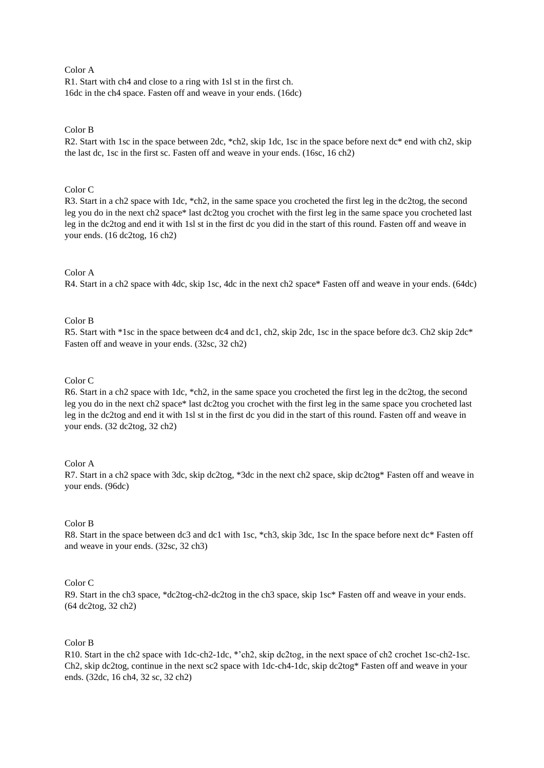# Color A

R1. Start with ch4 and close to a ring with 1sl st in the first ch. 16dc in the ch4 space. Fasten off and weave in your ends. (16dc)

## Color B

R2. Start with 1sc in the space between 2dc, \*ch2, skip 1dc, 1sc in the space before next dc\* end with ch2, skip the last dc, 1sc in the first sc. Fasten off and weave in your ends. (16sc, 16 ch2)

## Color C

R3. Start in a ch2 space with 1dc, \*ch2, in the same space you crocheted the first leg in the dc2tog, the second leg you do in the next ch2 space\* last dc2tog you crochet with the first leg in the same space you crocheted last leg in the dc2tog and end it with 1sl st in the first dc you did in the start of this round. Fasten off and weave in your ends. (16 dc2tog, 16 ch2)

# Color A

R4. Start in a ch2 space with 4dc, skip 1sc, 4dc in the next ch2 space\* Fasten off and weave in your ends. (64dc)

# Color B

R5. Start with \*1sc in the space between dc4 and dc1, ch2, skip 2dc, 1sc in the space before dc3. Ch2 skip  $2dc*$ Fasten off and weave in your ends. (32sc, 32 ch2)

### Color C

R6. Start in a ch2 space with 1dc, \*ch2, in the same space you crocheted the first leg in the dc2tog, the second leg you do in the next ch2 space\* last dc2tog you crochet with the first leg in the same space you crocheted last leg in the dc2tog and end it with 1sl st in the first dc you did in the start of this round. Fasten off and weave in your ends. (32 dc2tog, 32 ch2)

### Color A

R7. Start in a ch2 space with 3dc, skip dc2tog, \*3dc in the next ch2 space, skip dc2tog\* Fasten off and weave in your ends. (96dc)

### Color B

R8. Start in the space between dc3 and dc1 with 1sc, \*ch3, skip 3dc, 1sc In the space before next dc\* Fasten off and weave in your ends. (32sc, 32 ch3)

### Color C

R9. Start in the ch3 space, \*dc2tog-ch2-dc2tog in the ch3 space, skip 1sc\* Fasten off and weave in your ends. (64 dc2tog, 32 ch2)

### Color B

R10. Start in the ch2 space with 1dc-ch2-1dc, \*'ch2, skip dc2tog, in the next space of ch2 crochet 1sc-ch2-1sc. Ch2, skip dc2tog, continue in the next sc2 space with 1dc-ch4-1dc, skip dc2tog\* Fasten off and weave in your ends. (32dc, 16 ch4, 32 sc, 32 ch2)